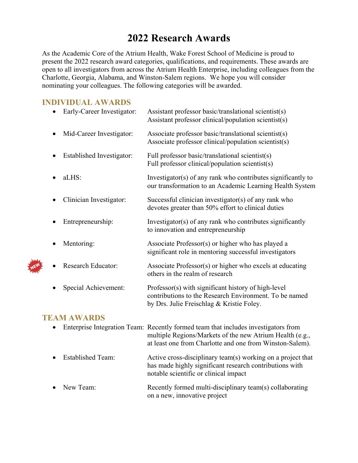## **2022 Research Awards**

As the Academic Core of the Atrium Health, Wake Forest School of Medicine is proud to present the 2022 research award categories, qualifications, and requirements. These awards are open to all investigators from across the Atrium Health Enterprise, including colleagues from the Charlotte, Georgia, Alabama, and Winston-Salem regions. We hope you will consider nominating your colleagues. The following categories will be awarded.

## **INDIVIDUAL AWARDS**

| Early-Career Investigator: | Assistant professor basic/translational scientist(s)<br>Assistant professor clinical/population scientist(s)                                               |
|----------------------------|------------------------------------------------------------------------------------------------------------------------------------------------------------|
| Mid-Career Investigator:   | Associate professor basic/translational scientist(s)<br>Associate professor clinical/population scientist(s)                                               |
| Established Investigator:  | Full professor basic/translational scientist(s)<br>Full professor clinical/population scientist(s)                                                         |
| aLHS:                      | Investigator(s) of any rank who contributes significantly to<br>our transformation to an Academic Learning Health System                                   |
| Clinician Investigator:    | Successful clinician investigator(s) of any rank who<br>devotes greater than 50% effort to clinical duties                                                 |
| Entrepreneurship:          | Investigator(s) of any rank who contributes significantly<br>to innovation and entrepreneurship                                                            |
| Mentoring:                 | Associate Professor(s) or higher who has played a<br>significant role in mentoring successful investigators                                                |
| <b>Research Educator:</b>  | Associate Professor(s) or higher who excels at educating<br>others in the realm of research                                                                |
| Special Achievement:       | Professor(s) with significant history of high-level<br>contributions to the Research Environment. To be named<br>by Drs. Julie Freischlag & Kristie Foley. |

#### **TEAM AWARDS**

| $\bullet$ |                     | Enterprise Integration Team: Recently formed team that includes investigators from<br>multiple Regions/Markets of the new Atrium Health (e.g.,<br>at least one from Charlotte and one from Winston-Salem). |
|-----------|---------------------|------------------------------------------------------------------------------------------------------------------------------------------------------------------------------------------------------------|
|           | • Established Team: | Active cross-disciplinary team(s) working on a project that<br>has made highly significant research contributions with<br>notable scientific or clinical impact                                            |
|           | • New Team:         | Recently formed multi-disciplinary team(s) collaborating<br>on a new, innovative project                                                                                                                   |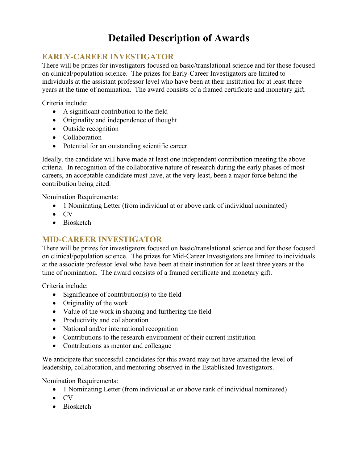# **Detailed Description of Awards**

## **EARLY-CAREER INVESTIGATOR**

There will be prizes for investigators focused on basic/translational science and for those focused on clinical/population science. The prizes for Early-Career Investigators are limited to individuals at the assistant professor level who have been at their institution for at least three years at the time of nomination. The award consists of a framed certificate and monetary gift.

Criteria include:

- A significant contribution to the field
- Originality and independence of thought
- Outside recognition
- Collaboration
- Potential for an outstanding scientific career

Ideally, the candidate will have made at least one independent contribution meeting the above criteria. In recognition of the collaborative nature of research during the early phases of most careers, an acceptable candidate must have, at the very least, been a major force behind the contribution being cited.

Nomination Requirements:

- 1 Nominating Letter (from individual at or above rank of individual nominated)
- CV
- Biosketch

### **MID-CAREER INVESTIGATOR**

There will be prizes for investigators focused on basic/translational science and for those focused on clinical/population science. The prizes for Mid-Career Investigators are limited to individuals at the associate professor level who have been at their institution for at least three years at the time of nomination. The award consists of a framed certificate and monetary gift.

Criteria include:

- Significance of contribution(s) to the field
- Originality of the work
- Value of the work in shaping and furthering the field
- Productivity and collaboration
- National and/or international recognition
- Contributions to the research environment of their current institution
- Contributions as mentor and colleague

We anticipate that successful candidates for this award may not have attained the level of leadership, collaboration, and mentoring observed in the Established Investigators.

Nomination Requirements:

- 1 Nominating Letter (from individual at or above rank of individual nominated)
- CV
- Biosketch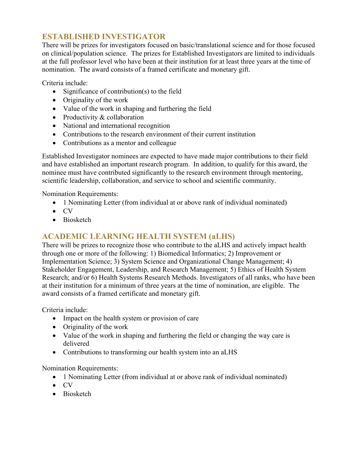## **ESTABLISHED INVESTIGATOR**

There will be prizes for investigators focused on basic/translational science and for those focused on clinical/population science. The prizes for Established Investigators are limited to individuals at the full professor level who have been at their institution for at least three years at the time of nomination. The award consists of a framed certificate and monetary gift.

Criteria include:

- Significance of contribution(s) to the field
- Originality of the work
- Value of the work in shaping and furthering the field
- Productivity & collaboration
- National and international recognition
- Contributions to the research environment of their current institution
- Contributions as a mentor and colleague

Established Investigator nominees are expected to have made major contributions to their field and have established an important research program. In addition, to qualify for this award, the nominee must have contributed significantly to the research environment through mentoring, scientific leadership, collaboration, and service to school and scientific community.

Nomination Requirements:

- 1 Nominating Letter (from individual at or above rank of individual nominated)
- CV
- Biosketch

### **ACADEMIC LEARNING HEALTH SYSTEM (aLHS)**

There will be prizes to recognize those who contribute to the aLHS and actively impact health through one or more of the following: 1) Biomedical Informatics; 2) Improvement or Implementation Science; 3) System Science and Organizational Change Management; 4) Stakeholder Engagement, Leadership, and Research Management; 5) Ethics of Health System Research; and/or 6) Health Systems Research Methods. Investigators of all ranks, who have been at their institution for a minimum of three years at the time of nomination, are eligible. The award consists of a framed certificate and monetary gift.

Criteria include:

- Impact on the health system or provision of care
- Originality of the work
- Value of the work in shaping and furthering the field or changing the way care is delivered
- Contributions to transforming our health system into an aLHS

Nomination Requirements:

- 1 Nominating Letter (from individual at or above rank of individual nominated)
- CV
- Biosketch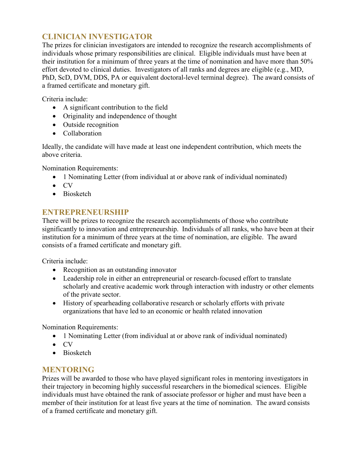## **CLINICIAN INVESTIGATOR**

The prizes for clinician investigators are intended to recognize the research accomplishments of individuals whose primary responsibilities are clinical. Eligible individuals must have been at their institution for a minimum of three years at the time of nomination and have more than 50% effort devoted to clinical duties. Investigators of all ranks and degrees are eligible (e.g., MD, PhD, ScD, DVM, DDS, PA or equivalent doctoral-level terminal degree). The award consists of a framed certificate and monetary gift.

Criteria include:

- A significant contribution to the field
- Originality and independence of thought
- Outside recognition
- Collaboration

Ideally, the candidate will have made at least one independent contribution, which meets the above criteria.

Nomination Requirements:

- 1 Nominating Letter (from individual at or above rank of individual nominated)
- CV
- Biosketch

## **ENTREPRENEURSHIP**

There will be prizes to recognize the research accomplishments of those who contribute significantly to innovation and entrepreneurship. Individuals of all ranks, who have been at their institution for a minimum of three years at the time of nomination, are eligible. The award consists of a framed certificate and monetary gift.

Criteria include:

- Recognition as an outstanding innovator
- Leadership role in either an entrepreneurial or research-focused effort to translate scholarly and creative academic work through interaction with industry or other elements of the private sector.
- History of spearheading collaborative research or scholarly efforts with private organizations that have led to an economic or health related innovation

Nomination Requirements:

- 1 Nominating Letter (from individual at or above rank of individual nominated)
- CV
- Biosketch

### **MENTORING**

Prizes will be awarded to those who have played significant roles in mentoring investigators in their trajectory in becoming highly successful researchers in the biomedical sciences. Eligible individuals must have obtained the rank of associate professor or higher and must have been a member of their institution for at least five years at the time of nomination. The award consists of a framed certificate and monetary gift.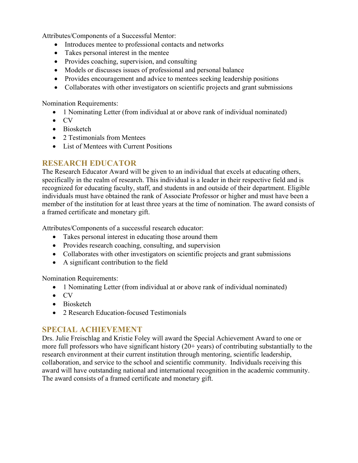Attributes/Components of a Successful Mentor:

- Introduces mentee to professional contacts and networks
- Takes personal interest in the mentee
- Provides coaching, supervision, and consulting
- Models or discusses issues of professional and personal balance
- Provides encouragement and advice to mentees seeking leadership positions
- Collaborates with other investigators on scientific projects and grant submissions

Nomination Requirements:

- 1 Nominating Letter (from individual at or above rank of individual nominated)
- CV
- Biosketch
- 2 Testimonials from Mentees
- List of Mentees with Current Positions

## **RESEARCH EDUCATOR**

The Research Educator Award will be given to an individual that excels at educating others, specifically in the realm of research. This individual is a leader in their respective field and is recognized for educating faculty, staff, and students in and outside of their department. Eligible individuals must have obtained the rank of Associate Professor or higher and must have been a member of the institution for at least three years at the time of nomination. The award consists of a framed certificate and monetary gift.

Attributes/Components of a successful research educator:

- Takes personal interest in educating those around them
- Provides research coaching, consulting, and supervision
- Collaborates with other investigators on scientific projects and grant submissions
- A significant contribution to the field

Nomination Requirements:

- 1 Nominating Letter (from individual at or above rank of individual nominated)
- CV
- Biosketch
- 2 Research Education-focused Testimonials

### **SPECIAL ACHIEVEMENT**

Drs. Julie Freischlag and Kristie Foley will award the Special Achievement Award to one or more full professors who have significant history (20+ years) of contributing substantially to the research environment at their current institution through mentoring, scientific leadership, collaboration, and service to the school and scientific community. Individuals receiving this award will have outstanding national and international recognition in the academic community. The award consists of a framed certificate and monetary gift.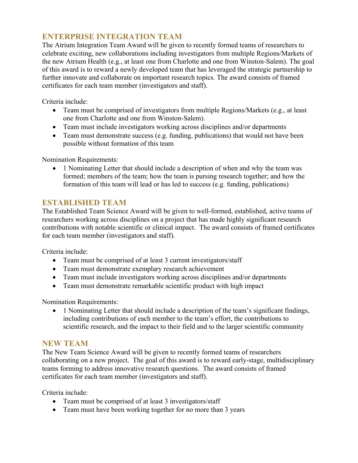## **ENTERPRISE INTEGRATION TEAM**

The Atrium Integration Team Award will be given to recently formed teams of researchers to celebrate exciting, new collaborations including investigators from multiple Regions/Markets of the new Atrium Health (e.g., at least one from Charlotte and one from Winston-Salem). The goal of this award is to reward a newly developed team that has leveraged the strategic partnership to further innovate and collaborate on important research topics. The award consists of framed certificates for each team member (investigators and staff).

Criteria include:

- Team must be comprised of investigators from multiple Regions/Markets (e.g., at least one from Charlotte and one from Winston-Salem).
- Team must include investigators working across disciplines and/or departments
- Team must demonstrate success (e.g. funding, publications) that would not have been possible without formation of this team

Nomination Requirements:

• 1 Nominating Letter that should include a description of when and why the team was formed; members of the team; how the team is pursing research together; and how the formation of this team will lead or has led to success (e.g. funding, publications)

### **ESTABLISHED TEAM**

The Established Team Science Award will be given to well-formed, established, active teams of researchers working across disciplines on a project that has made highly significant research contributions with notable scientific or clinical impact. The award consists of framed certificates for each team member (investigators and staff).

Criteria include:

- Team must be comprised of at least 3 current investigators/staff
- Team must demonstrate exemplary research achievement
- Team must include investigators working across disciplines and/or departments
- Team must demonstrate remarkable scientific product with high impact

Nomination Requirements:

• 1 Nominating Letter that should include a description of the team's significant findings, including contributions of each member to the team's effort, the contributions to scientific research, and the impact to their field and to the larger scientific community

### **NEW TEAM**

The New Team Science Award will be given to recently formed teams of researchers collaborating on a new project. The goal of this award is to reward early-stage, multidisciplinary teams forming to address innovative research questions. The award consists of framed certificates for each team member (investigators and staff).

Criteria include:

- Team must be comprised of at least 3 investigators/staff
- Team must have been working together for no more than 3 years